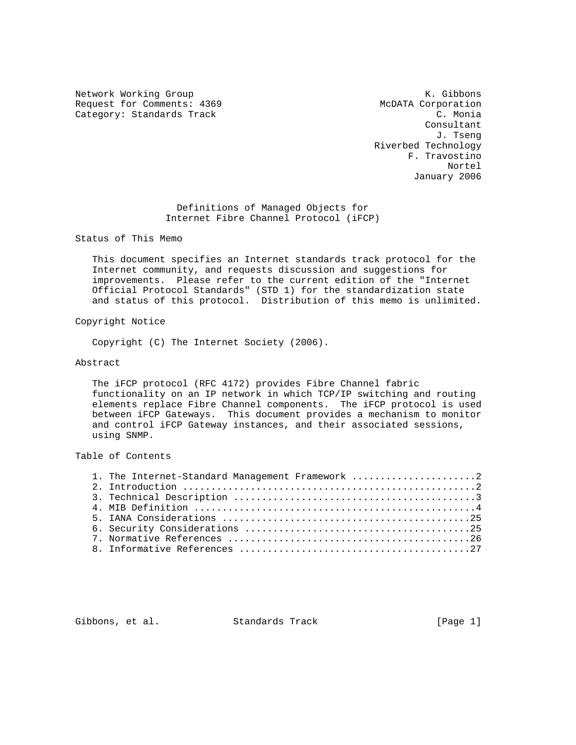Network Working Group Network Working Group Network Cibbons Request for Comments: 4369 McDATA Corporation<br>Category: Standards Track C. Monia Category: Standards Track

 Consultant J. Tseng Riverbed Technology F. Travostino Nortel January 2006

> Definitions of Managed Objects for Internet Fibre Channel Protocol (iFCP)

Status of This Memo

 This document specifies an Internet standards track protocol for the Internet community, and requests discussion and suggestions for improvements. Please refer to the current edition of the "Internet Official Protocol Standards" (STD 1) for the standardization state and status of this protocol. Distribution of this memo is unlimited.

Copyright Notice

Copyright (C) The Internet Society (2006).

## Abstract

 The iFCP protocol (RFC 4172) provides Fibre Channel fabric functionality on an IP network in which TCP/IP switching and routing elements replace Fibre Channel components. The iFCP protocol is used between iFCP Gateways. This document provides a mechanism to monitor and control iFCP Gateway instances, and their associated sessions, using SNMP.

Table of Contents

|  | 1. The Internet-Standard Management Framework 2 |
|--|-------------------------------------------------|
|  |                                                 |
|  |                                                 |
|  |                                                 |
|  |                                                 |
|  |                                                 |
|  |                                                 |
|  |                                                 |
|  |                                                 |

Gibbons, et al. Standards Track [Page 1]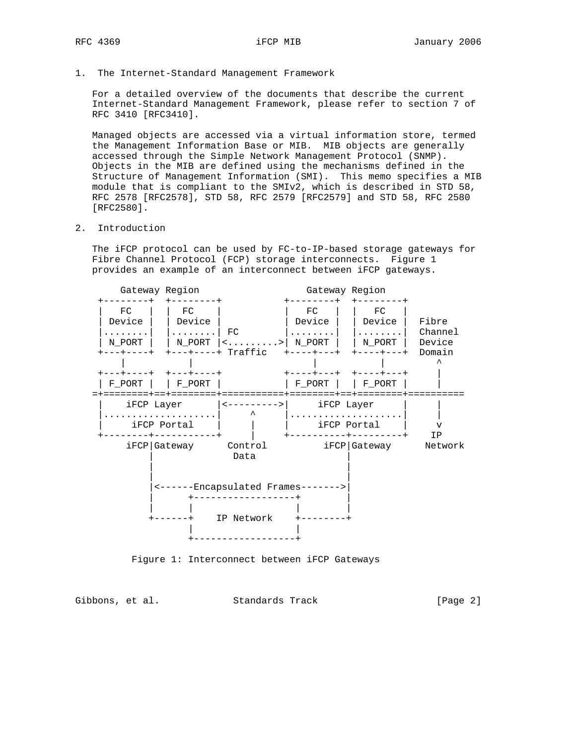1. The Internet-Standard Management Framework

 For a detailed overview of the documents that describe the current Internet-Standard Management Framework, please refer to section 7 of RFC 3410 [RFC3410].

 Managed objects are accessed via a virtual information store, termed the Management Information Base or MIB. MIB objects are generally accessed through the Simple Network Management Protocol (SNMP). Objects in the MIB are defined using the mechanisms defined in the Structure of Management Information (SMI). This memo specifies a MIB module that is compliant to the SMIv2, which is described in STD 58, RFC 2578 [RFC2578], STD 58, RFC 2579 [RFC2579] and STD 58, RFC 2580 [RFC2580].

# 2. Introduction

 The iFCP protocol can be used by FC-to-IP-based storage gateways for Fibre Channel Protocol (FCP) storage interconnects. Figure 1 provides an example of an interconnect between iFCP gateways.



Figure 1: Interconnect between iFCP Gateways

Gibbons, et al. Standards Track [Page 2]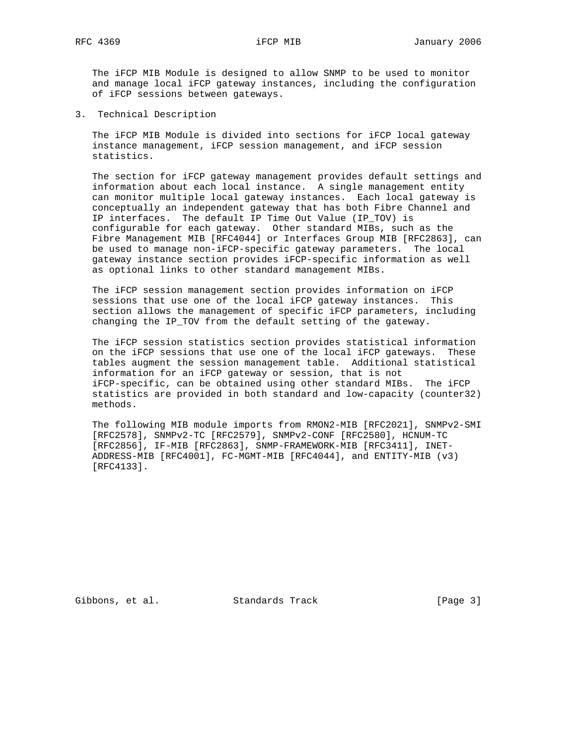The iFCP MIB Module is designed to allow SNMP to be used to monitor and manage local iFCP gateway instances, including the configuration of iFCP sessions between gateways.

3. Technical Description

 The iFCP MIB Module is divided into sections for iFCP local gateway instance management, iFCP session management, and iFCP session statistics.

 The section for iFCP gateway management provides default settings and information about each local instance. A single management entity can monitor multiple local gateway instances. Each local gateway is conceptually an independent gateway that has both Fibre Channel and IP interfaces. The default IP Time Out Value (IP\_TOV) is configurable for each gateway. Other standard MIBs, such as the Fibre Management MIB [RFC4044] or Interfaces Group MIB [RFC2863], can be used to manage non-iFCP-specific gateway parameters. The local gateway instance section provides iFCP-specific information as well as optional links to other standard management MIBs.

 The iFCP session management section provides information on iFCP sessions that use one of the local iFCP gateway instances. This section allows the management of specific iFCP parameters, including changing the IP\_TOV from the default setting of the gateway.

 The iFCP session statistics section provides statistical information on the iFCP sessions that use one of the local iFCP gateways. These tables augment the session management table. Additional statistical information for an iFCP gateway or session, that is not iFCP-specific, can be obtained using other standard MIBs. The iFCP statistics are provided in both standard and low-capacity (counter32) methods.

 The following MIB module imports from RMON2-MIB [RFC2021], SNMPv2-SMI [RFC2578], SNMPv2-TC [RFC2579], SNMPv2-CONF [RFC2580], HCNUM-TC [RFC2856], IF-MIB [RFC2863], SNMP-FRAMEWORK-MIB [RFC3411], INET- ADDRESS-MIB [RFC4001], FC-MGMT-MIB [RFC4044], and ENTITY-MIB (v3) [RFC4133].

Gibbons, et al. Standards Track [Page 3]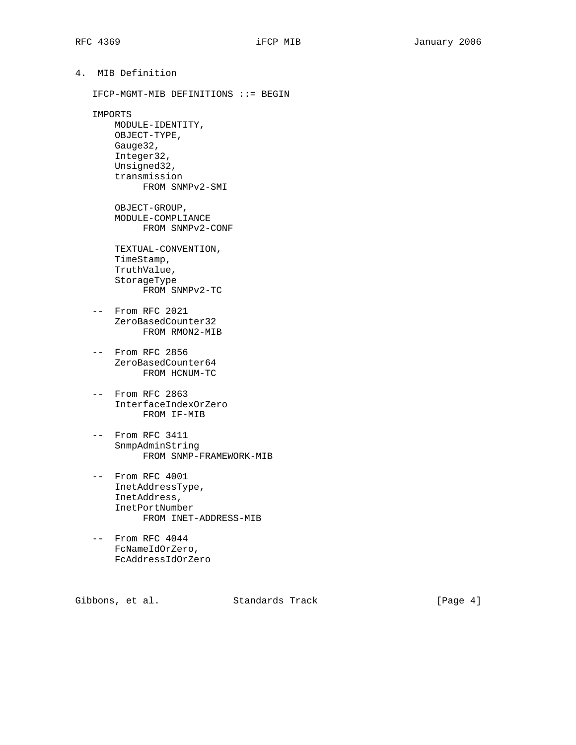| 4. MIB Definition |  |                                       |  |  |  |  |
|-------------------|--|---------------------------------------|--|--|--|--|
|                   |  | $IFCP-MGMT-MIB$ DEFINITIONS ::= BEGIN |  |  |  |  |

IMPORTS

 MODULE-IDENTITY, OBJECT-TYPE, Gauge32, Integer32, Unsigned32, transmission FROM SNMPv2-SMI OBJECT-GROUP, MODULE-COMPLIANCE FROM SNMPv2-CONF TEXTUAL-CONVENTION, TimeStamp, TruthValue, StorageType FROM SNMPv2-TC

- -- From RFC 2021 ZeroBasedCounter32 FROM RMON2-MIB
- -- From RFC 2856 ZeroBasedCounter64 FROM HCNUM-TC
- -- From RFC 2863 InterfaceIndexOrZero FROM IF-MIB
- -- From RFC 3411 SnmpAdminString FROM SNMP-FRAMEWORK-MIB
- -- From RFC 4001 InetAddressType, InetAddress, InetPortNumber FROM INET-ADDRESS-MIB
- -- From RFC 4044 FcNameIdOrZero, FcAddressIdOrZero

Gibbons, et al. Standards Track [Page 4]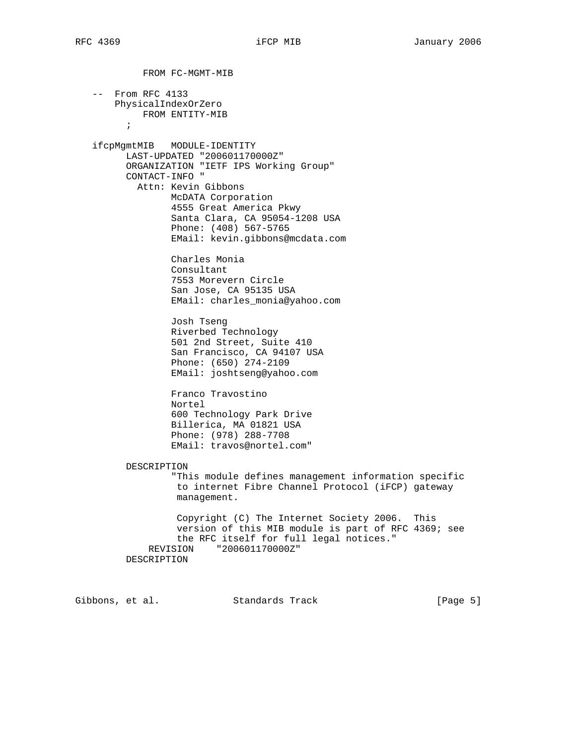FROM FC-MGMT-MIB -- From RFC 4133 PhysicalIndexOrZero FROM ENTITY-MIB  $\mathcal{L}^{\text{max}}$  ifcpMgmtMIB MODULE-IDENTITY LAST-UPDATED "200601170000Z" ORGANIZATION "IETF IPS Working Group" CONTACT-INFO " Attn: Kevin Gibbons McDATA Corporation 4555 Great America Pkwy Santa Clara, CA 95054-1208 USA Phone: (408) 567-5765 EMail: kevin.gibbons@mcdata.com Charles Monia Consultant 7553 Morevern Circle San Jose, CA 95135 USA EMail: charles\_monia@yahoo.com Josh Tseng Riverbed Technology 501 2nd Street, Suite 410 San Francisco, CA 94107 USA Phone: (650) 274-2109 EMail: joshtseng@yahoo.com Franco Travostino Nortel 600 Technology Park Drive Billerica, MA 01821 USA Phone: (978) 288-7708 EMail: travos@nortel.com" DESCRIPTION "This module defines management information specific to internet Fibre Channel Protocol (iFCP) gateway management. Copyright (C) The Internet Society 2006. This version of this MIB module is part of RFC 4369; see the RFC itself for full legal notices." REVISION "200601170000Z" DESCRIPTION

Gibbons, et al. Standards Track [Page 5]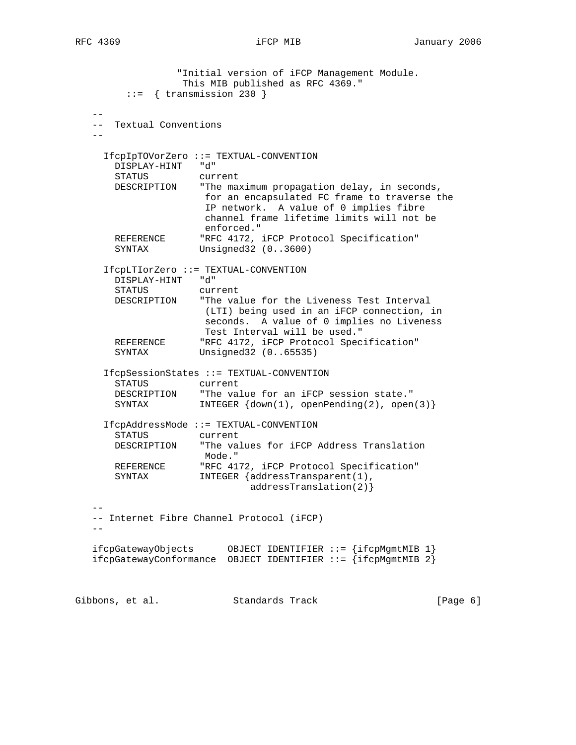"Initial version of iFCP Management Module. This MIB published as RFC 4369." ::= { transmission 230 } -- -- Textual Conventions -- IfcpIpTOVorZero ::= TEXTUAL-CONVENTION DISPLAY-HINT "d" STATUS current DESCRIPTION "The maximum propagation delay, in seconds, for an encapsulated FC frame to traverse the IP network. A value of 0 implies fibre channel frame lifetime limits will not be enforced."<br>REFERENCE "RFC 4172, REFERENCE "RFC 4172, iFCP Protocol Specification"<br>SYNTAX Unsigned32 (0..3600) Unsigned32  $(0..3600)$  IfcpLTIorZero ::= TEXTUAL-CONVENTION DISPLAY-HINT "d" STATUS current DESCRIPTION "The value for the Liveness Test Interval (LTI) being used in an iFCP connection, in seconds. A value of 0 implies no Liveness Test Interval will be used." REFERENCE "RFC 4172, iFCP Protocol Specification" SYNTAX Unsigned32 (0..65535) IfcpSessionStates ::= TEXTUAL-CONVENTION STATUS current DESCRIPTION "The value for an iFCP session state." SYNTAX INTEGER  $\{down(1)$ , openPending(2), open(3)} IfcpAddressMode ::= TEXTUAL-CONVENTION STATUS current DESCRIPTION "The values for iFCP Address Translation Mode." REFERENCE "RFC 4172, iFCP Protocol Specification"<br>SYNTAX INTEGER {addressTransparent(1), INTEGER {addressTransparent(1), addressTranslation(2)} -- -- Internet Fibre Channel Protocol (iFCP)  $-$  ifcpGatewayObjects OBJECT IDENTIFIER ::= {ifcpMgmtMIB 1} ifcpGatewayConformance OBJECT IDENTIFIER  $::=$  {ifcpMgmtMIB 2}

Gibbons, et al. Standards Track [Page 6]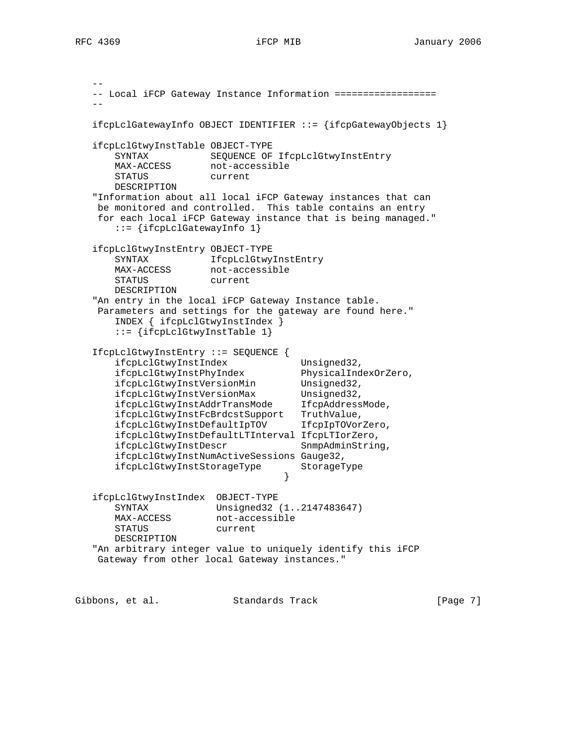-- -- Local iFCP Gateway Instance Information ================== - ifcpLclGatewayInfo OBJECT IDENTIFIER ::= {ifcpGatewayObjects 1} ifcpLclGtwyInstTable OBJECT-TYPE SYNTAX SEQUENCE OF IfcpLclGtwyInstEntry MAX-ACCESS not-accessible STATUS current DESCRIPTION "Information about all local iFCP Gateway instances that can be monitored and controlled. This table contains an entry for each local iFCP Gateway instance that is being managed." ::= {ifcpLclGatewayInfo 1} ifcpLclGtwyInstEntry OBJECT-TYPE SYNTAX IfcpLclGtwyInstEntry MAX-ACCESS not-accessible STATUS current DESCRIPTION "An entry in the local iFCP Gateway Instance table. Parameters and settings for the gateway are found here." INDEX { ifcpLclGtwyInstIndex } ::= {ifcpLclGtwyInstTable 1} IfcpLclGtwyInstEntry ::= SEQUENCE { ifcpLclGtwyInstIndex Unsigned32, ifcpLclGtwyInstPhyIndex PhysicalIndexOrZero, ifcpLclGtwyInstVersionMin Unsigned32, ifcpLclGtwyInstVersionMax Unsigned32, ifcpLclGtwyInstAddrTransMode IfcpAddressMode, ifcpLclGtwyInstFcBrdcstSupport TruthValue, ifcpLclGtwyInstDefaultIpTOV IfcpIpTOVorZero, ifcpLclGtwyInstDefaultLTInterval IfcpLTIorZero, ifcpLclGtwyInstDescr SnmpAdminString, ifcpLclGtwyInstNumActiveSessions Gauge32, ifcpLclGtwyInstStorageType StorageType } ifcpLclGtwyInstIndex OBJECT-TYPE SYNTAX Unsigned32 (1..2147483647) MAX-ACCESS not-accessible STATUS current DESCRIPTION "An arbitrary integer value to uniquely identify this iFCP Gateway from other local Gateway instances."

Gibbons, et al. Standards Track [Page 7]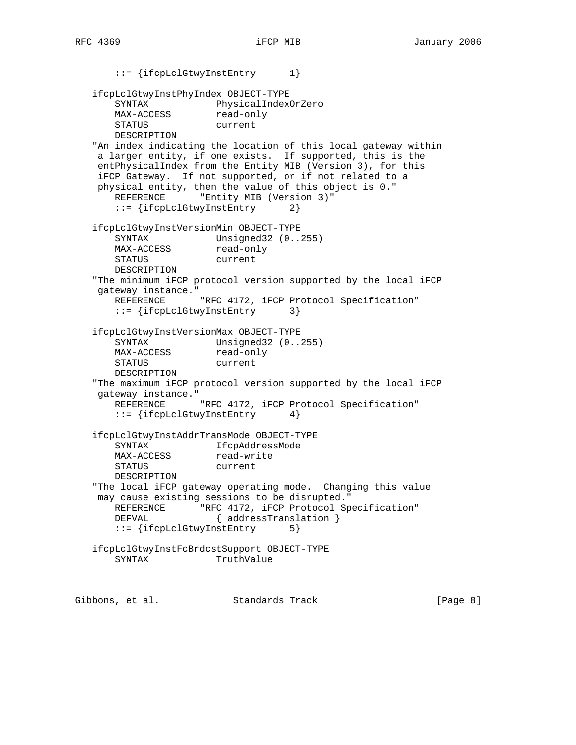::= {ifcpLclGtwyInstEntry 1} ifcpLclGtwyInstPhyIndex OBJECT-TYPE SYNTAX PhysicalIndexOrZero<br>MAX-ACCESS read-only MAX-ACCESS STATUS current DESCRIPTION "An index indicating the location of this local gateway within a larger entity, if one exists. If supported, this is the entPhysicalIndex from the Entity MIB (Version 3), for this iFCP Gateway. If not supported, or if not related to a physical entity, then the value of this object is 0." REFERENCE "Entity MIB (Version 3)" ::= {ifcpLclGtwyInstEntry 2} ifcpLclGtwyInstVersionMin OBJECT-TYPE SYNTAX Unsigned32 (0..255) MAX-ACCESS read-only STATUS current DESCRIPTION "The minimum iFCP protocol version supported by the local iFCP gateway instance." REFERENCE "RFC 4172, iFCP Protocol Specification" ::= {ifcpLclGtwyInstEntry 3} ifcpLclGtwyInstVersionMax OBJECT-TYPE SYNTAX Unsigned32 (0..255) MAX-ACCESS read-only STATUS current DESCRIPTION "The maximum iFCP protocol version supported by the local iFCP gateway instance." REFERENCE "RFC 4172, iFCP Protocol Specification" ::= {ifcpLclGtwyInstEntry 4} ifcpLclGtwyInstAddrTransMode OBJECT-TYPE SYNTAX IfcpAddressMode<br>
MAX-ACCESS read-write SINIAN<br>MAX-ACCESS STATUS current DESCRIPTION "The local iFCP gateway operating mode. Changing this value may cause existing sessions to be disrupted." REFERENCE "RFC 4172, iFCP Protocol Specification" DEFVAL { addressTranslation } ::= {ifcpLclGtwyInstEntry 5} ifcpLclGtwyInstFcBrdcstSupport OBJECT-TYPE SYNTAX TruthValue

Gibbons, et al. Standards Track [Page 8]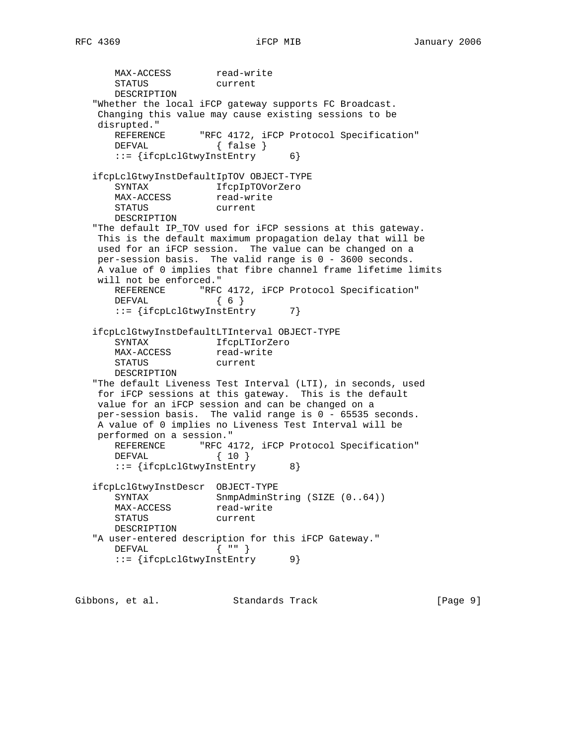MAX-ACCESS read-write STATUS current DESCRIPTION "Whether the local iFCP gateway supports FC Broadcast. Changing this value may cause existing sessions to be disrupted." "RFC 4172, iFCP Protocol Specification" DEFVAL { false } ::= {ifcpLclGtwyInstEntry 6} ifcpLclGtwyInstDefaultIpTOV OBJECT-TYPE SYNTAX IfcpIpTOVorZero MAX-ACCESS read-write SINIAA ---- L<br>MAX-ACCESS read-wr:<br>STATUS current DESCRIPTION "The default IP\_TOV used for iFCP sessions at this gateway. This is the default maximum propagation delay that will be used for an iFCP session. The value can be changed on a per-session basis. The valid range is 0 - 3600 seconds. A value of 0 implies that fibre channel frame lifetime limits will not be enforced." REFERENCE "RFC 4172, iFCP Protocol Specification" DEFVAL { 6 } ::= {ifcpLclGtwyInstEntry 7} ifcpLclGtwyInstDefaultLTInterval OBJECT-TYPE SYNTAX IfcpLTIorZero MAX-ACCESS read-write STATUS current DESCRIPTION "The default Liveness Test Interval (LTI), in seconds, used for iFCP sessions at this gateway. This is the default value for an iFCP session and can be changed on a per-session basis. The valid range is 0 - 65535 seconds. A value of 0 implies no Liveness Test Interval will be performed on a session." REFERENCE "RFC 4172, iFCP Protocol Specification" DEFVAL { 10 } ::= {ifcpLclGtwyInstEntry 8} ifcpLclGtwyInstDescr OBJECT-TYPE SYNTAX SnmpAdminString (SIZE (0..64)) MAX-ACCESS read-write STATUS current DESCRIPTION "A user-entered description for this iFCP Gateway."<br>DEFVAL  $\{$  ""  $\}$  $DEFVAL$ ::= {ifcpLclGtwyInstEntry 9}

Gibbons, et al. Standards Track [Page 9]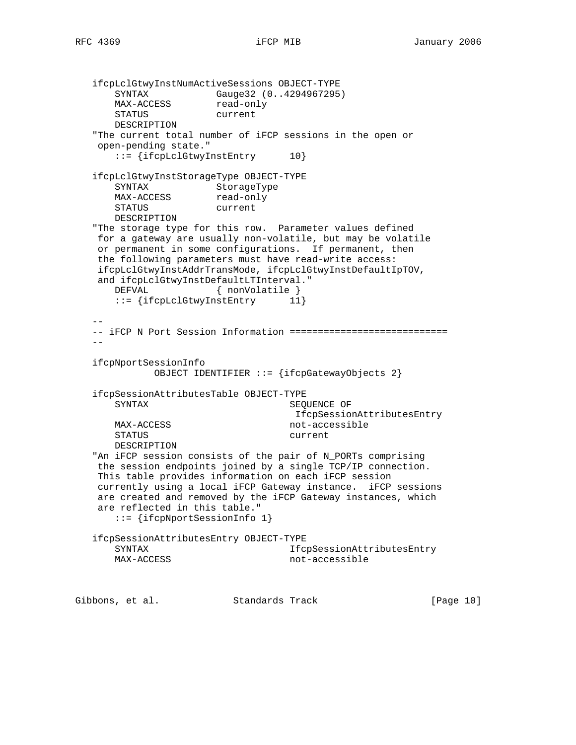ifcpLclGtwyInstNumActiveSessions OBJECT-TYPE SYNTAX Gauge32 (0..4294967295) MAX-ACCESS read-only STATUS current DESCRIPTION "The current total number of iFCP sessions in the open or open-pending state." ::= {ifcpLclGtwyInstEntry 10} ifcpLclGtwyInstStorageType OBJECT-TYPE SYNTAX StorageType<br>MAX-ACCESS read-only SINIAA<br>MAX-ACCESS STATUS current DESCRIPTION "The storage type for this row. Parameter values defined for a gateway are usually non-volatile, but may be volatile or permanent in some configurations. If permanent, then the following parameters must have read-write access: ifcpLclGtwyInstAddrTransMode, ifcpLclGtwyInstDefaultIpTOV, and ifcpLclGtwyInstDefaultLTInterval." DEFVAL { nonVolatile } ::= {ifcpLclGtwyInstEntry 11} -- -- iFCP N Port Session Information ============================  $$  ifcpNportSessionInfo OBJECT IDENTIFIER ::= {ifcpGatewayObjects 2} ifcpSessionAttributesTable OBJECT-TYPE SYNTAX SEOUENCE OF IfcpSessionAttributesEntry MAX-ACCESS not-accessible STATUS current DESCRIPTION "An iFCP session consists of the pair of N\_PORTs comprising the session endpoints joined by a single TCP/IP connection. This table provides information on each iFCP session currently using a local iFCP Gateway instance. iFCP sessions are created and removed by the iFCP Gateway instances, which are reflected in this table." ::= {ifcpNportSessionInfo 1} ifcpSessionAttributesEntry OBJECT-TYPE SYNTAX **Iffeld** Ifferment Ifferment Ifferment Ifferment Ifferment Ifferment Ifferment Ifferment Ifferment Ifferment Ifferment Ifferment Ifferment Ifferment Ifferment Ifferment Ifferment Ifferment Ifferment Ifferment Ifferm MAX-ACCESS not-accessible

Gibbons, et al. Standards Track [Page 10]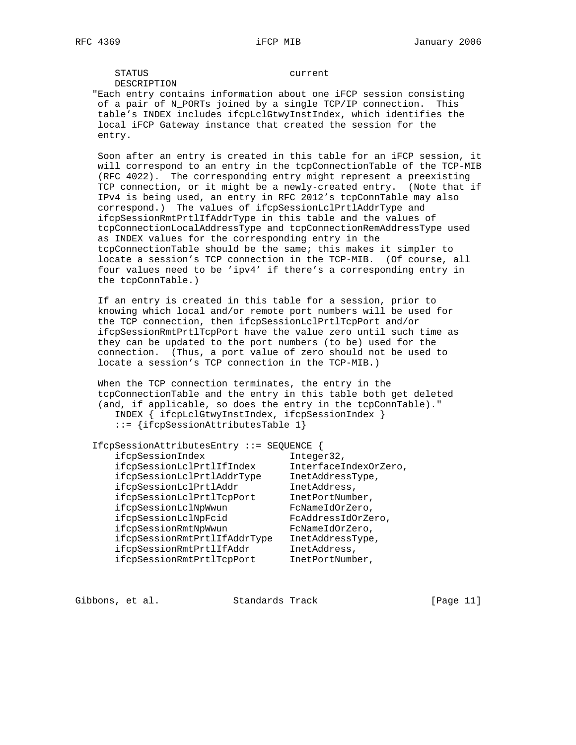STATUS current DESCRIPTION

 "Each entry contains information about one iFCP session consisting of a pair of N\_PORTs joined by a single TCP/IP connection. This table's INDEX includes ifcpLclGtwyInstIndex, which identifies the local iFCP Gateway instance that created the session for the entry.

 Soon after an entry is created in this table for an iFCP session, it will correspond to an entry in the tcpConnectionTable of the TCP-MIB (RFC 4022). The corresponding entry might represent a preexisting TCP connection, or it might be a newly-created entry. (Note that if IPv4 is being used, an entry in RFC 2012's tcpConnTable may also correspond.) The values of ifcpSessionLclPrtlAddrType and ifcpSessionRmtPrtlIfAddrType in this table and the values of tcpConnectionLocalAddressType and tcpConnectionRemAddressType used as INDEX values for the corresponding entry in the tcpConnectionTable should be the same; this makes it simpler to locate a session's TCP connection in the TCP-MIB. (Of course, all four values need to be 'ipv4' if there's a corresponding entry in the tcpConnTable.)

 If an entry is created in this table for a session, prior to knowing which local and/or remote port numbers will be used for the TCP connection, then ifcpSessionLclPrtlTcpPort and/or ifcpSessionRmtPrtlTcpPort have the value zero until such time as they can be updated to the port numbers (to be) used for the connection. (Thus, a port value of zero should not be used to locate a session's TCP connection in the TCP-MIB.)

 When the TCP connection terminates, the entry in the tcpConnectionTable and the entry in this table both get deleted (and, if applicable, so does the entry in the tcpConnTable)." INDEX { ifcpLclGtwyInstIndex, ifcpSessionIndex }

::= {ifcpSessionAttributesTable 1}

| IfcpSessionAttributesEntry ::= SEQUENCE          |
|--------------------------------------------------|
| Integer32,                                       |
| InterfaceIndexOrZero,                            |
| InetAddressType,                                 |
| InetAddress,                                     |
| InetPortNumber,                                  |
| FcNameIdOrZero,                                  |
| FcAddressIdOrZero,                               |
| FcNameIdOrZero,                                  |
| ifcpSessionRmtPrtlIfAddrType<br>InetAddressType, |
| InetAddress,                                     |
| InetPortNumber,                                  |
|                                                  |

Gibbons, et al. Standards Track [Page 11]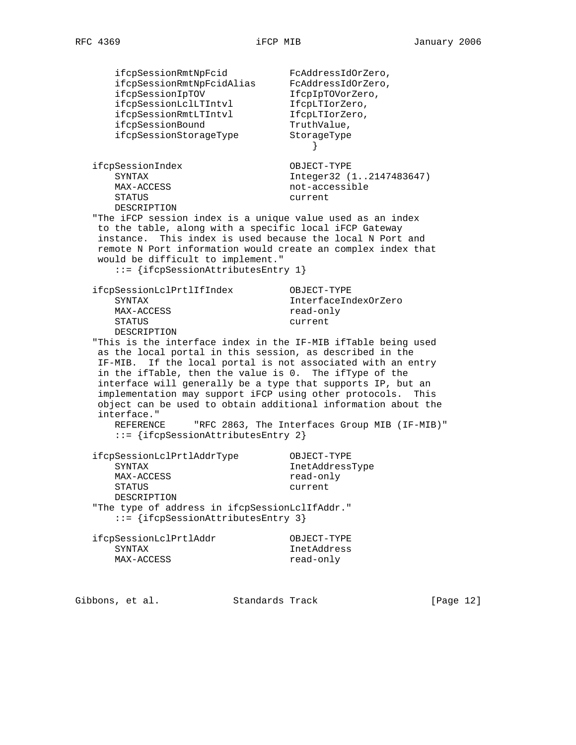ifcpSessionRmtNpFcid FcAddressIdOrZero, ifcpSessionRmtNpFcidAlias FcAddressIdOrZero, ifcpSessionIpTOV 1fcpIpTOVorZero, ifcpSessionLclLTIntvl IfcpLTIorZero, ifcpSessionRmtLTIntvl IfcpLTIorZero, ifcpSessionBound TruthValue, ifcpSessionStorageType StorageType } ifcpSessionIndex OBJECT-TYPE SYNTAX Integer32 (1..2147483647) MAX-ACCESS not-accessible STATUS current DESCRIPTION "The iFCP session index is a unique value used as an index to the table, along with a specific local iFCP Gateway instance. This index is used because the local N Port and remote N Port information would create an complex index that would be difficult to implement." ::= {ifcpSessionAttributesEntry 1} ifcpSessionLclPrtlIfIndex OBJECT-TYPE SYNTAX InterfaceIndexOrZero MAX-ACCESS read-only<br>STATUS current current DESCRIPTION "This is the interface index in the IF-MIB ifTable being used as the local portal in this session, as described in the IF-MIB. If the local portal is not associated with an entry in the ifTable, then the value is 0. The ifType of the interface will generally be a type that supports IP, but an implementation may support iFCP using other protocols. This object can be used to obtain additional information about the interface." REFERENCE "RFC 2863, The Interfaces Group MIB (IF-MIB)" ::= {ifcpSessionAttributesEntry 2} ifcpSessionLclPrtlAddrType OBJECT-TYPE SYNTAX InetAddressType MAX-ACCESS read-only STATUS current DESCRIPTION "The type of address in ifcpSessionLclIfAddr." ::= {ifcpSessionAttributesEntry 3} ifcpSessionLclPrtlAddr OBJECT-TYPE SYNTAX InetAddress MAX-ACCESS read-only

Gibbons, et al. Standards Track [Page 12]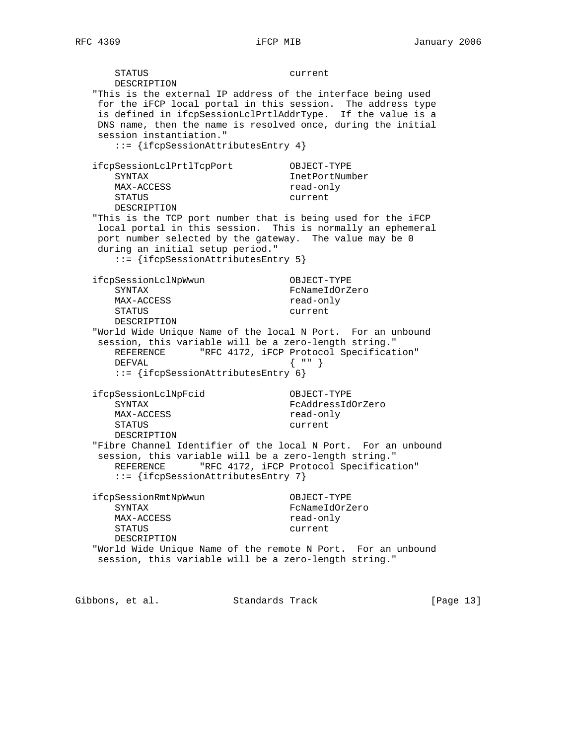STATUS current DESCRIPTION "This is the external IP address of the interface being used for the iFCP local portal in this session. The address type is defined in ifcpSessionLclPrtlAddrType. If the value is a DNS name, then the name is resolved once, during the initial session instantiation." ::= {ifcpSessionAttributesEntry 4} ifcpSessionLclPrtlTcpPort OBJECT-TYPE SYNTAX InetPortNumber MAX-ACCESS read-only STATUS current DESCRIPTION "This is the TCP port number that is being used for the iFCP local portal in this session. This is normally an ephemeral port number selected by the gateway. The value may be 0 during an initial setup period." ::= {ifcpSessionAttributesEntry 5} ifcpSessionLclNpWwun OBJECT-TYPE SYNTAX FCNameIdOrZero MAX-ACCESS read-only STATUS current DESCRIPTION "World Wide Unique Name of the local N Port. For an unbound session, this variable will be a zero-length string." REFERENCE "RFC 4172, iFCP Protocol Specification" DEFVAL { "" } ::= {ifcpSessionAttributesEntry 6} ifcpSessionLclNpFcid OBJECT-TYPE SYNTAX FcAddressIdOrZero MAX-ACCESS read-only STATUS current DESCRIPTION "Fibre Channel Identifier of the local N Port. For an unbound session, this variable will be a zero-length string." REFERENCE "RFC 4172, iFCP Protocol Specification" ::= {ifcpSessionAttributesEntry 7} ifcpSessionRmtNpWwun OBJECT-TYPE SYNTAX FcNameIdOrZero MAX-ACCESS read-only STATUS current DESCRIPTION "World Wide Unique Name of the remote N Port. For an unbound session, this variable will be a zero-length string."

Gibbons, et al. Standards Track [Page 13]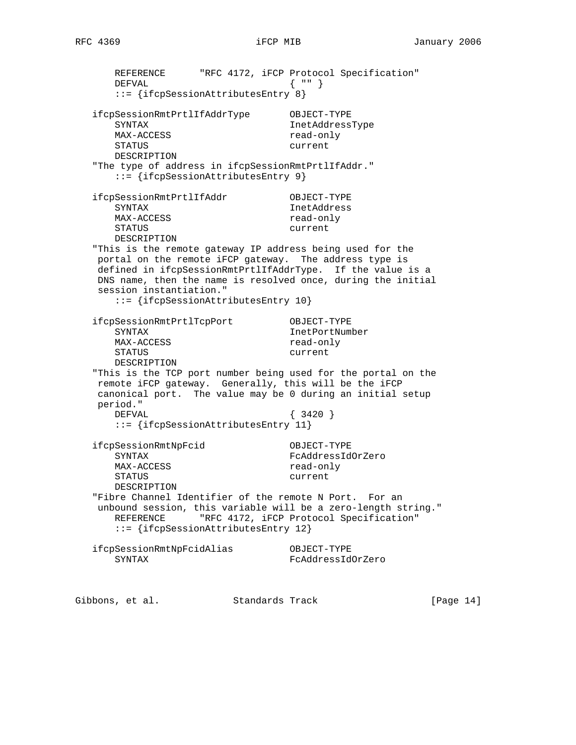REFERENCE "RFC 4172, iFCP Protocol Specification"<br>DEFVAL { "" }  $DEFVAL$  ::= {ifcpSessionAttributesEntry 8} ifcpSessionRmtPrtlIfAddrType OBJECT-TYPE SYNTAX InetAddressType MAX-ACCESS read-only STATUS current DESCRIPTION "The type of address in ifcpSessionRmtPrtlIfAddr." ::= {ifcpSessionAttributesEntry 9} ifcpSessionRmtPrtlIfAddr OBJECT-TYPE SYNTAX InetAddress MAX-ACCESS read-only STATUS current DESCRIPTION "This is the remote gateway IP address being used for the portal on the remote iFCP gateway. The address type is defined in ifcpSessionRmtPrtlIfAddrType. If the value is a DNS name, then the name is resolved once, during the initial session instantiation." ::= {ifcpSessionAttributesEntry 10} ifcpSessionRmtPrtlTcpPort OBJECT-TYPE SYNTAX InetPortNumber MAX-ACCESS read-only STATUS current DESCRIPTION "This is the TCP port number being used for the portal on the remote iFCP gateway. Generally, this will be the iFCP canonical port. The value may be 0 during an initial setup period." DEFVAL { 3420 } ::= {ifcpSessionAttributesEntry 11} ifcpSessionRmtNpFcid OBJECT-TYPE SYNTAX FcAddressIdOrZero MAX-ACCESS read-only STATUS current DESCRIPTION

 "Fibre Channel Identifier of the remote N Port. For an unbound session, this variable will be a zero-length string." REFERENCE "RFC 4172, iFCP Protocol Specification" ::= {ifcpSessionAttributesEntry 12}

| ifcpSessionRmtNpFcidAlias | OBJECT-TYPE       |
|---------------------------|-------------------|
| SYNTAX                    | FcAddressIdOrZero |

Gibbons, et al. Standards Track [Page 14]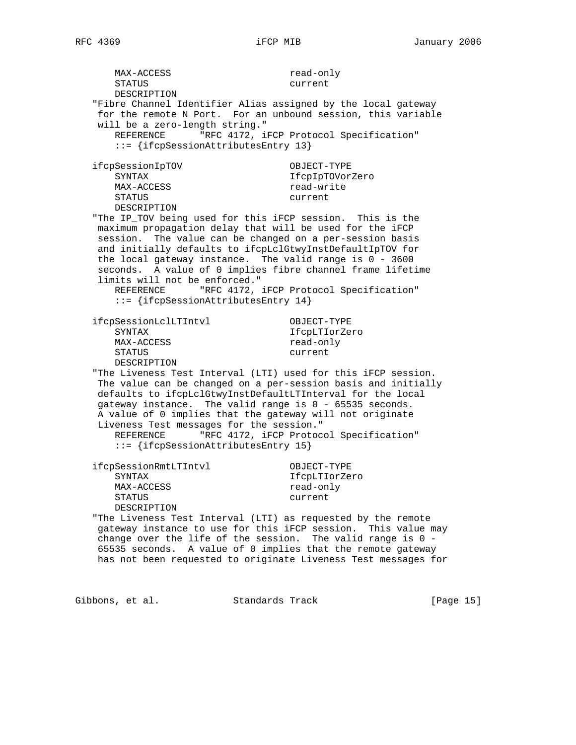MAX-ACCESS read-only STATUS current DESCRIPTION "Fibre Channel Identifier Alias assigned by the local gateway for the remote N Port. For an unbound session, this variable will be a zero-length string." REFERENCE "RFC 4172, iFCP Protocol Specification" ::= {ifcpSessionAttributesEntry 13} ifcpSessionIpTOV OBJECT-TYPE SYNTAX IfcpIpTOVorZero MAX-ACCESS read-write STATUS current DESCRIPTION "The IP\_TOV being used for this iFCP session. This is the maximum propagation delay that will be used for the iFCP session. The value can be changed on a per-session basis and initially defaults to ifcpLclGtwyInstDefaultIpTOV for the local gateway instance. The valid range is 0 - 3600 seconds. A value of 0 implies fibre channel frame lifetime limits will not be enforced." REFERENCE "RFC 4172, iFCP Protocol Specification" ::= {ifcpSessionAttributesEntry 14} ifcpSessionLclLTIntvl OBJECT-TYPE SYNTAX IfcpLTIorZero MAX-ACCESS read-only STATUS current DESCRIPTION "The Liveness Test Interval (LTI) used for this iFCP session. The value can be changed on a per-session basis and initially defaults to ifcpLclGtwyInstDefaultLTInterval for the local gateway instance. The valid range is 0 - 65535 seconds. A value of 0 implies that the gateway will not originate Liveness Test messages for the session." REFERENCE "RFC 4172, iFCP Protocol Specification" ::= {ifcpSessionAttributesEntry 15} ifcpSessionRmtLTIntvl OBJECT-TYPE SYNTAX IfcpLTIorZero MAX-ACCESS read-only STATUS current DESCRIPTION "The Liveness Test Interval (LTI) as requested by the remote gateway instance to use for this iFCP session. This value may change over the life of the session. The valid range is 0 - 65535 seconds. A value of 0 implies that the remote gateway has not been requested to originate Liveness Test messages for

Gibbons, et al. Standards Track [Page 15]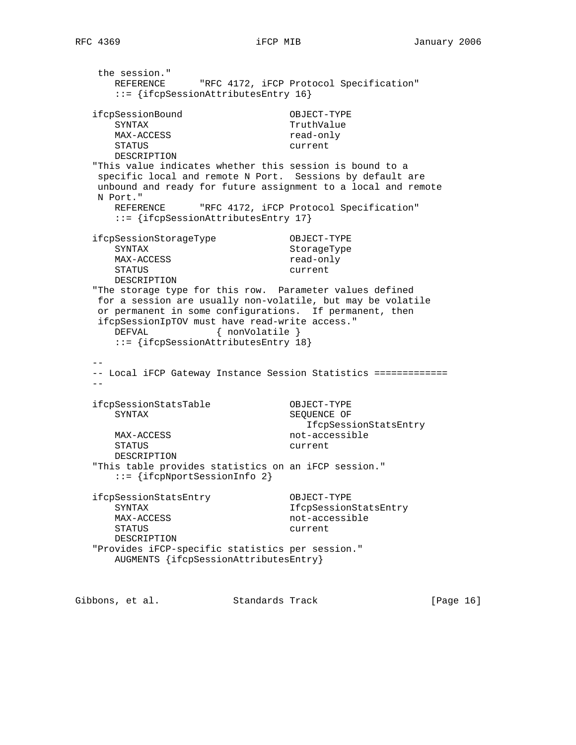the session." REFERENCE "RFC 4172, iFCP Protocol Specification" ::= {ifcpSessionAttributesEntry 16} ifcpSessionBound OBJECT-TYPE SYNTAX TruthValue<br>MAX-ACCESS and the manufacturer of the manufacturer of the manufacturer of the manufacturer of the manufacture MAX-ACCESS STATUS current DESCRIPTION "This value indicates whether this session is bound to a specific local and remote N Port. Sessions by default are unbound and ready for future assignment to a local and remote N Port." REFERENCE "RFC 4172, iFCP Protocol Specification" ::= {ifcpSessionAttributesEntry 17} ifcpSessionStorageType OBJECT-TYPE SYNTAX StorageType MAX-ACCESS read-only STATUS current DESCRIPTION "The storage type for this row. Parameter values defined for a session are usually non-volatile, but may be volatile or permanent in some configurations. If permanent, then ifcpSessionIpTOV must have read-write access." DEFVAL { nonVolatile } ::= {ifcpSessionAttributesEntry 18} -- -- Local iFCP Gateway Instance Session Statistics =============  $-$  ifcpSessionStatsTable OBJECT-TYPE SYNTAX SEQUENCE OF IfcpSessionStatsEntry MAX-ACCESS not-accessible STATUS current DESCRIPTION "This table provides statistics on an iFCP session." ::= {ifcpNportSessionInfo 2} ifcpSessionStatsEntry OBJECT-TYPE SYNTAX **IfcpSessionStatsEntry** MAX-ACCESS not-accessible STATUS current DESCRIPTION "Provides iFCP-specific statistics per session." AUGMENTS {ifcpSessionAttributesEntry}

Gibbons, et al. Standards Track [Page 16]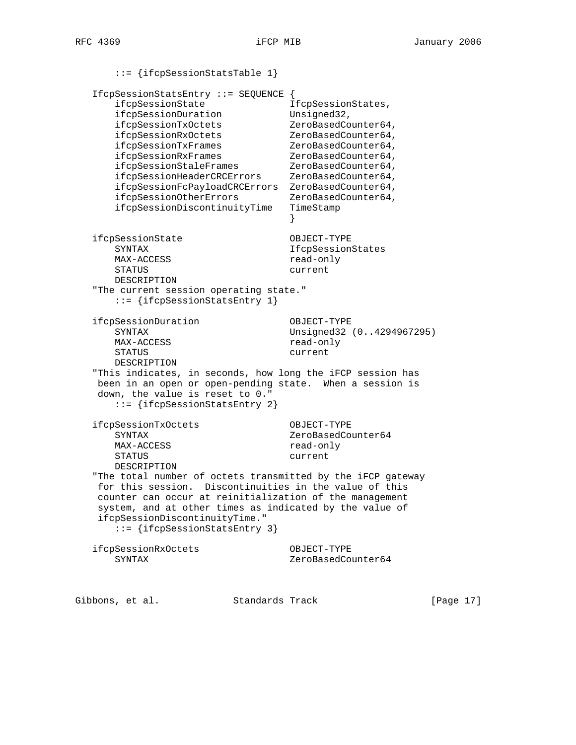::= {ifcpSessionStatsTable 1} IfcpSessionStatsEntry ::= SEQUENCE { ifcpSessionState 1fcpSessionStates, ifcpSessionDuration Unsigned32, ifcpSessionTxOctets ZeroBasedCounter64, ifcpSessionRxOctets ZeroBasedCounter64, ifcpSessionTxFrames ZeroBasedCounter64, ifcpSessionRxFrames  $ZeroBasedCounter64,$ ifcpSessionStaleFrames ZeroBasedCounter64, ifcpSessionHeaderCRCErrors ZeroBasedCounter64, ifcpSessionFcPayloadCRCErrors ZeroBasedCounter64, ifcpSessionOtherErrors ZeroBasedCounter64, ifcpSessionDiscontinuityTime TimeStamp } ifcpSessionState OBJECT-TYPE SYNTAX IfcpSessionStates MAX-ACCESS read-only STATUS current DESCRIPTION "The current session operating state." ::= {ifcpSessionStatsEntry 1} ifcpSessionDuration OBJECT-TYPE SYNTAX Unsigned32 (0..4294967295) MAX-ACCESS read-only STATUS current DESCRIPTION "This indicates, in seconds, how long the iFCP session has been in an open or open-pending state. When a session is down, the value is reset to 0." ::= {ifcpSessionStatsEntry 2} ifcpSessionTxOctets OBJECT-TYPE SYNTAX 2eroBasedCounter64 MAX-ACCESS read-only STATUS current DESCRIPTION "The total number of octets transmitted by the iFCP gateway for this session. Discontinuities in the value of this counter can occur at reinitialization of the management system, and at other times as indicated by the value of ifcpSessionDiscontinuityTime." ::= {ifcpSessionStatsEntry 3} ifcpSessionRxOctets OBJECT-TYPE SYNTAX ZeroBasedCounter64

Gibbons, et al. Standards Track [Page 17]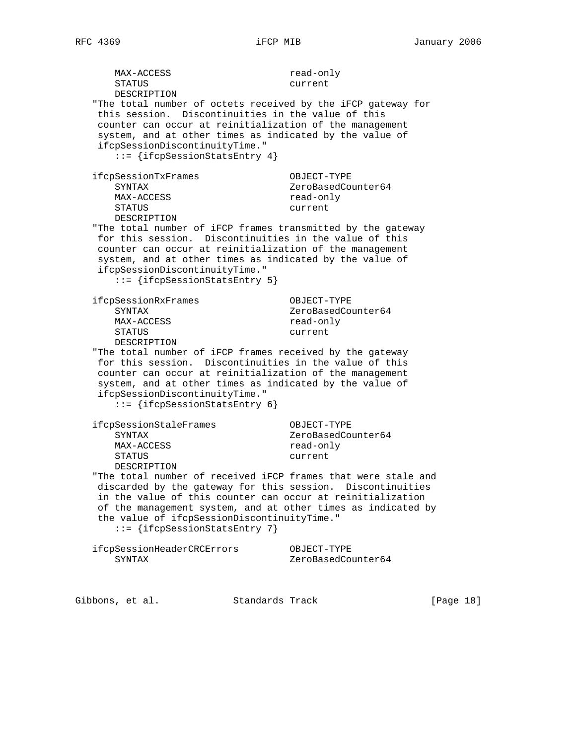MAX-ACCESS read-only STATUS current DESCRIPTION "The total number of octets received by the iFCP gateway for this session. Discontinuities in the value of this counter can occur at reinitialization of the management system, and at other times as indicated by the value of ifcpSessionDiscontinuityTime." ::= {ifcpSessionStatsEntry 4} ifcpSessionTxFrames OBJECT-TYPE SYNTAX 2eroBasedCounter64 MAX-ACCESS read-only STATUS current DESCRIPTION "The total number of iFCP frames transmitted by the gateway for this session. Discontinuities in the value of this counter can occur at reinitialization of the management system, and at other times as indicated by the value of ifcpSessionDiscontinuityTime." ::= {ifcpSessionStatsEntry 5} ifcpSessionRxFrames OBJECT-TYPE SYNTAX ZeroBasedCounter64 MAX-ACCESS read-only STATUS current DESCRIPTION "The total number of iFCP frames received by the gateway for this session. Discontinuities in the value of this counter can occur at reinitialization of the management system, and at other times as indicated by the value of ifcpSessionDiscontinuityTime." ::= {ifcpSessionStatsEntry 6} ifcpSessionStaleFrames OBJECT-TYPE SYNTAX 2eroBasedCounter64 MAX-ACCESS read-only STATUS current DESCRIPTION "The total number of received iFCP frames that were stale and discarded by the gateway for this session. Discontinuities in the value of this counter can occur at reinitialization of the management system, and at other times as indicated by the value of ifcpSessionDiscontinuityTime." ::= {ifcpSessionStatsEntry 7} ifcpSessionHeaderCRCErrors OBJECT-TYPE SYNTAX ZeroBasedCounter64

Gibbons, et al. Standards Track [Page 18]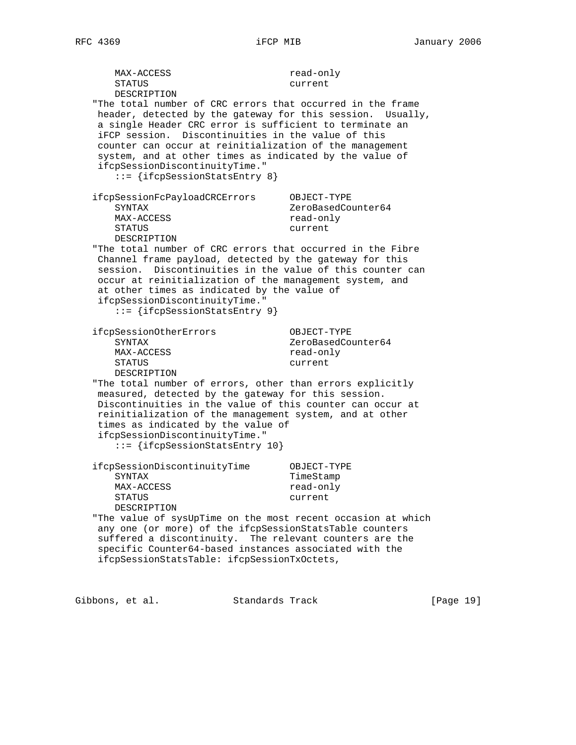MAX-ACCESS read-only STATUS current DESCRIPTION "The total number of CRC errors that occurred in the frame header, detected by the gateway for this session. Usually, a single Header CRC error is sufficient to terminate an iFCP session. Discontinuities in the value of this counter can occur at reinitialization of the management system, and at other times as indicated by the value of ifcpSessionDiscontinuityTime." ::= {ifcpSessionStatsEntry 8} ifcpSessionFcPayloadCRCErrors OBJECT-TYPE SYNTAX ZeroBasedCounter64 MAX-ACCESS read-only STATUS current DESCRIPTION "The total number of CRC errors that occurred in the Fibre Channel frame payload, detected by the gateway for this session. Discontinuities in the value of this counter can occur at reinitialization of the management system, and at other times as indicated by the value of ifcpSessionDiscontinuityTime." ::= {ifcpSessionStatsEntry 9} ifcpSessionOtherErrors OBJECT-TYPE SYNTAX 2eroBasedCounter64 MAX-ACCESS read-only STATUS current DESCRIPTION "The total number of errors, other than errors explicitly measured, detected by the gateway for this session. Discontinuities in the value of this counter can occur at reinitialization of the management system, and at other times as indicated by the value of ifcpSessionDiscontinuityTime." ::= {ifcpSessionStatsEntry 10} ifcpSessionDiscontinuityTime OBJECT-TYPE TimeStamp MAX-ACCESS read-only STATUS current DESCRIPTION "The value of sysUpTime on the most recent occasion at which any one (or more) of the ifcpSessionStatsTable counters suffered a discontinuity. The relevant counters are the specific Counter64-based instances associated with the ifcpSessionStatsTable: ifcpSessionTxOctets,

Gibbons, et al. Standards Track [Page 19]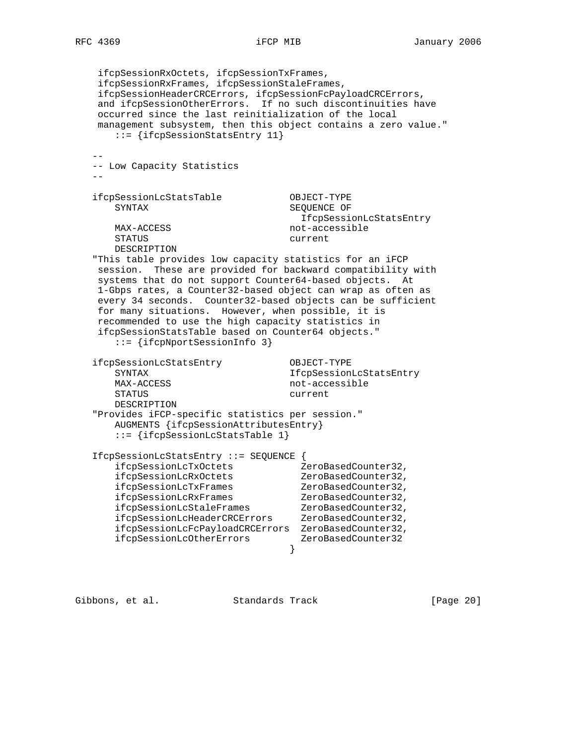ifcpSessionRxOctets, ifcpSessionTxFrames, ifcpSessionRxFrames, ifcpSessionStaleFrames, ifcpSessionHeaderCRCErrors, ifcpSessionFcPayloadCRCErrors, and ifcpSessionOtherErrors. If no such discontinuities have occurred since the last reinitialization of the local management subsystem, then this object contains a zero value." ::= {ifcpSessionStatsEntry 11}  $-$  -- Low Capacity Statistics - ifcpSessionLcStatsTable OBJECT-TYPE SYNTAX SEQUENCE OF IfcpSessionLcStatsEntry MAX-ACCESS not-accessible STATUS current DESCRIPTION "This table provides low capacity statistics for an iFCP session. These are provided for backward compatibility with systems that do not support Counter64-based objects. At 1-Gbps rates, a Counter32-based object can wrap as often as every 34 seconds. Counter32-based objects can be sufficient for many situations. However, when possible, it is recommended to use the high capacity statistics in ifcpSessionStatsTable based on Counter64 objects." ::= {ifcpNportSessionInfo 3} ifcpSessionLcStatsEntry OBJECT-TYPE SYNTAX IfcpSessionLcStatsEntry MAX-ACCESS not-accessible STATUS current DESCRIPTION "Provides iFCP-specific statistics per session." AUGMENTS {ifcpSessionAttributesEntry} ::= {ifcpSessionLcStatsTable 1} IfcpSessionLcStatsEntry ::= SEQUENCE { ifcpSessionLcTxOctets ZeroBasedCounter32, ifcpSessionLcRxOctets ZeroBasedCounter32, ifcpSessionLcTxFrames ZeroBasedCounter32, ifcpSessionLcRxFrames ZeroBasedCounter32, ifcpSessionLcStaleFrames ZeroBasedCounter32, ifcpSessionLcHeaderCRCErrors ZeroBasedCounter32, ifcpSessionLcFcPayloadCRCErrors ZeroBasedCounter32, ifcpSessionLcOtherErrors ZeroBasedCounter32 }

Gibbons, et al. Standards Track [Page 20]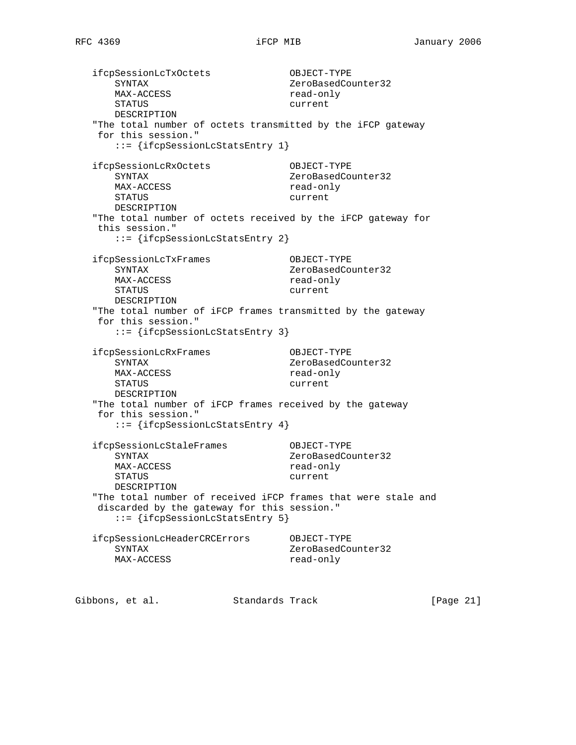ifcpSessionLcTxOctets OBJECT-TYPE SYNTAX 2eroBasedCounter32 MAX-ACCESS read-only STATUS current DESCRIPTION "The total number of octets transmitted by the iFCP gateway for this session." ::= {ifcpSessionLcStatsEntry 1} ifcpSessionLcRxOctets OBJECT-TYPE SYNTAX 2eroBasedCounter32 MAX-ACCESS read-only STATUS current DESCRIPTION "The total number of octets received by the iFCP gateway for this session." ::= {ifcpSessionLcStatsEntry 2} ifcpSessionLcTxFrames OBJECT-TYPE SYNTAX ZeroBasedCounter32 MAX-ACCESS read-only STATUS current DESCRIPTION "The total number of iFCP frames transmitted by the gateway for this session." ::= {ifcpSessionLcStatsEntry 3} ifcpSessionLcRxFrames OBJECT-TYPE SYNTAX 2eroBasedCounter32 MAX-ACCESS read-only STATUS current DESCRIPTION "The total number of iFCP frames received by the gateway for this session." ::= {ifcpSessionLcStatsEntry 4} ifcpSessionLcStaleFrames OBJECT-TYPE SYNTAX ZeroBasedCounter32 MAX-ACCESS read-only STATUS current DESCRIPTION "The total number of received iFCP frames that were stale and discarded by the gateway for this session." ::= {ifcpSessionLcStatsEntry 5} ifcpSessionLcHeaderCRCErrors OBJECT-TYPE SYNTAX 2eroBasedCounter32 MAX-ACCESS read-only

Gibbons, et al. Standards Track [Page 21]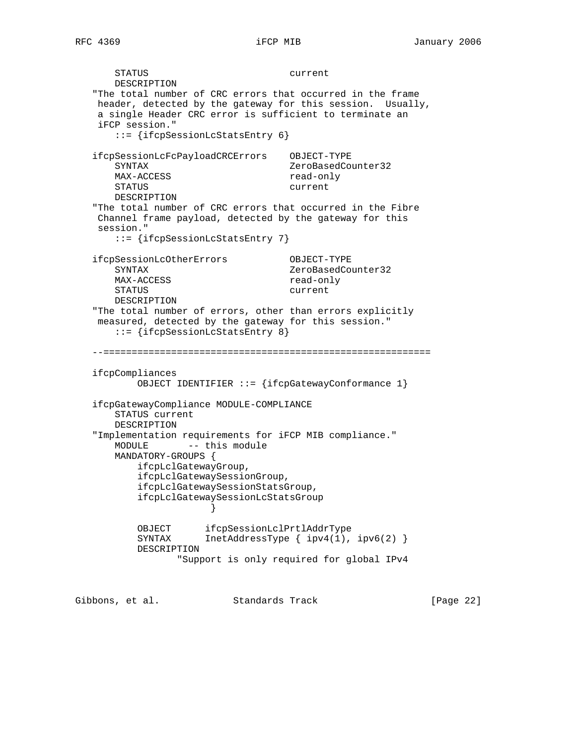STATUS current DESCRIPTION "The total number of CRC errors that occurred in the frame header, detected by the gateway for this session. Usually, a single Header CRC error is sufficient to terminate an iFCP session." ::= {ifcpSessionLcStatsEntry 6} ifcpSessionLcFcPayloadCRCErrors OBJECT-TYPE SYNTAX ZeroBasedCounter32 MAX-ACCESS STATUS current DESCRIPTION "The total number of CRC errors that occurred in the Fibre Channel frame payload, detected by the gateway for this session." ::= {ifcpSessionLcStatsEntry 7} ifcpSessionLcOtherErrors OBJECT-TYPE SYNTAX ZeroBasedCounter32 MAX-ACCESS read-only STATUS current DESCRIPTION "The total number of errors, other than errors explicitly measured, detected by the gateway for this session." ::= {ifcpSessionLcStatsEntry 8} --========================================================== ifcpCompliances OBJECT IDENTIFIER ::= {ifcpGatewayConformance 1} ifcpGatewayCompliance MODULE-COMPLIANCE STATUS current DESCRIPTION "Implementation requirements for iFCP MIB compliance." MODULE -- this module MANDATORY-GROUPS { ifcpLclGatewayGroup, ifcpLclGatewaySessionGroup, ifcpLclGatewaySessionStatsGroup, ifcpLclGatewaySessionLcStatsGroup } OBJECT ifcpSessionLclPrtlAddrType SYNTAX InetAddressType { ipv4(1), ipv6(2) } DESCRIPTION "Support is only required for global IPv4

Gibbons, et al. Standards Track [Page 22]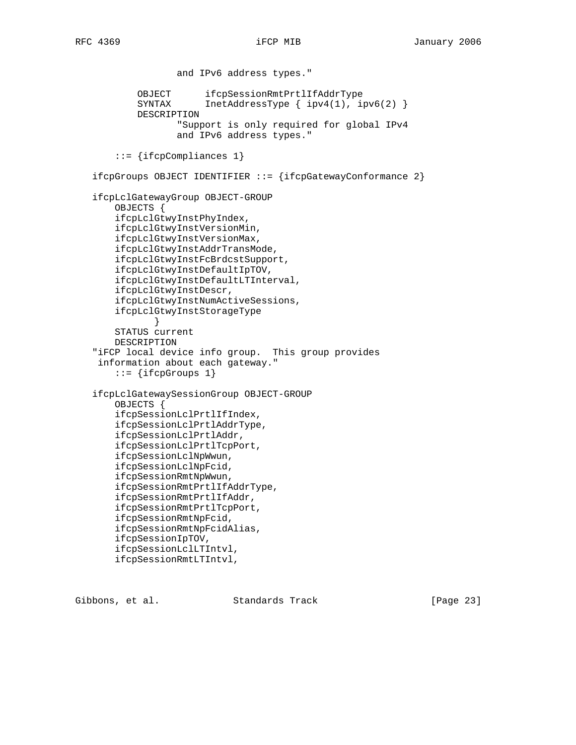and IPv6 address types." OBJECT ifcpSessionRmtPrtlIfAddrType SYNTAX InetAddressType { ipv4(1), ipv6(2) } DESCRIPTION "Support is only required for global IPv4 and IPv6 address types." ::= {ifcpCompliances 1} ifcpGroups OBJECT IDENTIFIER ::= {ifcpGatewayConformance 2} ifcpLclGatewayGroup OBJECT-GROUP OBJECTS { ifcpLclGtwyInstPhyIndex, ifcpLclGtwyInstVersionMin, ifcpLclGtwyInstVersionMax, ifcpLclGtwyInstAddrTransMode, ifcpLclGtwyInstFcBrdcstSupport, ifcpLclGtwyInstDefaultIpTOV, ifcpLclGtwyInstDefaultLTInterval, ifcpLclGtwyInstDescr, ifcpLclGtwyInstNumActiveSessions, ifcpLclGtwyInstStorageType } STATUS current DESCRIPTION "iFCP local device info group. This group provides information about each gateway."  $::=$  {ifcpGroups 1} ifcpLclGatewaySessionGroup OBJECT-GROUP OBJECTS { ifcpSessionLclPrtlIfIndex, ifcpSessionLclPrtlAddrType, ifcpSessionLclPrtlAddr, ifcpSessionLclPrtlTcpPort, ifcpSessionLclNpWwun, ifcpSessionLclNpFcid, ifcpSessionRmtNpWwun, ifcpSessionRmtPrtlIfAddrType, ifcpSessionRmtPrtlIfAddr, ifcpSessionRmtPrtlTcpPort, ifcpSessionRmtNpFcid, ifcpSessionRmtNpFcidAlias, ifcpSessionIpTOV, ifcpSessionLclLTIntvl, ifcpSessionRmtLTIntvl,

Gibbons, et al. Standards Track [Page 23]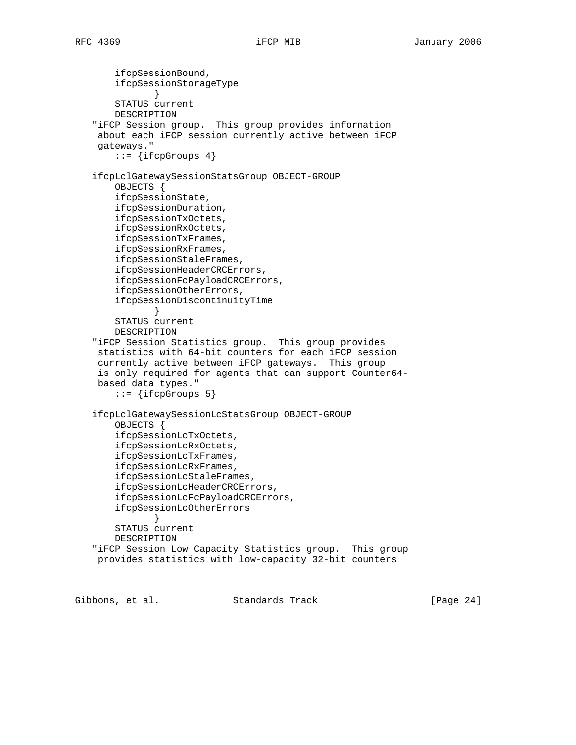```
 ifcpSessionBound,
        ifcpSessionStorageType
 }
        STATUS current
       DESCRIPTION
    "iFCP Session group. This group provides information
    about each iFCP session currently active between iFCP
    gateways."
       ::= {ifcpGroups 4}
   ifcpLclGatewaySessionStatsGroup OBJECT-GROUP
       OBJECTS {
        ifcpSessionState,
        ifcpSessionDuration,
        ifcpSessionTxOctets,
       ifcpSessionRxOctets,
       ifcpSessionTxFrames,
       ifcpSessionRxFrames,
       ifcpSessionStaleFrames,
       ifcpSessionHeaderCRCErrors,
        ifcpSessionFcPayloadCRCErrors,
        ifcpSessionOtherErrors,
        ifcpSessionDiscontinuityTime
 }
       STATUS current
       DESCRIPTION
    "iFCP Session Statistics group. This group provides
    statistics with 64-bit counters for each iFCP session
    currently active between iFCP gateways. This group
    is only required for agents that can support Counter64-
    based data types."
       ::= {ifcpGroups 5}
   ifcpLclGatewaySessionLcStatsGroup OBJECT-GROUP
       OBJECTS {
        ifcpSessionLcTxOctets,
        ifcpSessionLcRxOctets,
        ifcpSessionLcTxFrames,
        ifcpSessionLcRxFrames,
        ifcpSessionLcStaleFrames,
        ifcpSessionLcHeaderCRCErrors,
        ifcpSessionLcFcPayloadCRCErrors,
        ifcpSessionLcOtherErrors
              }
       STATUS current
       DESCRIPTION
    "iFCP Session Low Capacity Statistics group. This group
    provides statistics with low-capacity 32-bit counters
```
Gibbons, et al. Standards Track [Page 24]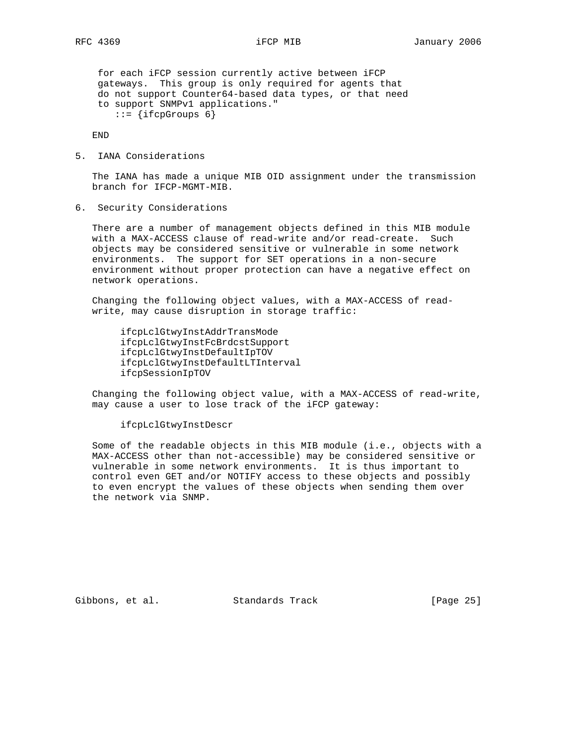for each iFCP session currently active between iFCP gateways. This group is only required for agents that do not support Counter64-based data types, or that need to support SNMPv1 applications."  $::=$  {ifcpGroups 6}

END

5. IANA Considerations

 The IANA has made a unique MIB OID assignment under the transmission branch for IFCP-MGMT-MIB.

6. Security Considerations

 There are a number of management objects defined in this MIB module with a MAX-ACCESS clause of read-write and/or read-create. Such objects may be considered sensitive or vulnerable in some network environments. The support for SET operations in a non-secure environment without proper protection can have a negative effect on network operations.

 Changing the following object values, with a MAX-ACCESS of read write, may cause disruption in storage traffic:

 ifcpLclGtwyInstAddrTransMode ifcpLclGtwyInstFcBrdcstSupport ifcpLclGtwyInstDefaultIpTOV ifcpLclGtwyInstDefaultLTInterval ifcpSessionIpTOV

 Changing the following object value, with a MAX-ACCESS of read-write, may cause a user to lose track of the iFCP gateway:

ifcpLclGtwyInstDescr

 Some of the readable objects in this MIB module (i.e., objects with a MAX-ACCESS other than not-accessible) may be considered sensitive or vulnerable in some network environments. It is thus important to control even GET and/or NOTIFY access to these objects and possibly to even encrypt the values of these objects when sending them over the network via SNMP.

Gibbons, et al. Standards Track [Page 25]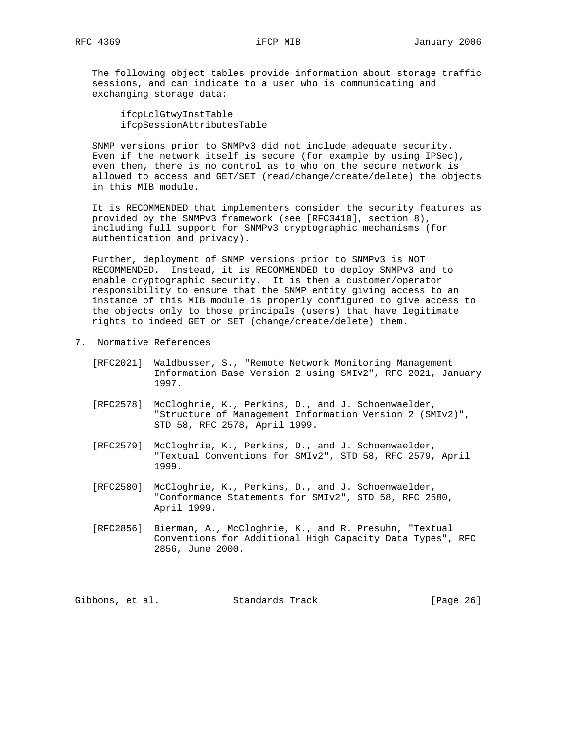The following object tables provide information about storage traffic sessions, and can indicate to a user who is communicating and exchanging storage data:

 ifcpLclGtwyInstTable ifcpSessionAttributesTable

 SNMP versions prior to SNMPv3 did not include adequate security. Even if the network itself is secure (for example by using IPSec), even then, there is no control as to who on the secure network is allowed to access and GET/SET (read/change/create/delete) the objects in this MIB module.

 It is RECOMMENDED that implementers consider the security features as provided by the SNMPv3 framework (see [RFC3410], section 8), including full support for SNMPv3 cryptographic mechanisms (for authentication and privacy).

 Further, deployment of SNMP versions prior to SNMPv3 is NOT RECOMMENDED. Instead, it is RECOMMENDED to deploy SNMPv3 and to enable cryptographic security. It is then a customer/operator responsibility to ensure that the SNMP entity giving access to an instance of this MIB module is properly configured to give access to the objects only to those principals (users) that have legitimate rights to indeed GET or SET (change/create/delete) them.

- 7. Normative References
	- [RFC2021] Waldbusser, S., "Remote Network Monitoring Management Information Base Version 2 using SMIv2", RFC 2021, January 1997.
	- [RFC2578] McCloghrie, K., Perkins, D., and J. Schoenwaelder, "Structure of Management Information Version 2 (SMIv2)", STD 58, RFC 2578, April 1999.
	- [RFC2579] McCloghrie, K., Perkins, D., and J. Schoenwaelder, "Textual Conventions for SMIv2", STD 58, RFC 2579, April 1999.
	- [RFC2580] McCloghrie, K., Perkins, D., and J. Schoenwaelder, "Conformance Statements for SMIv2", STD 58, RFC 2580, April 1999.
	- [RFC2856] Bierman, A., McCloghrie, K., and R. Presuhn, "Textual Conventions for Additional High Capacity Data Types", RFC 2856, June 2000.

Gibbons, et al. Standards Track [Page 26]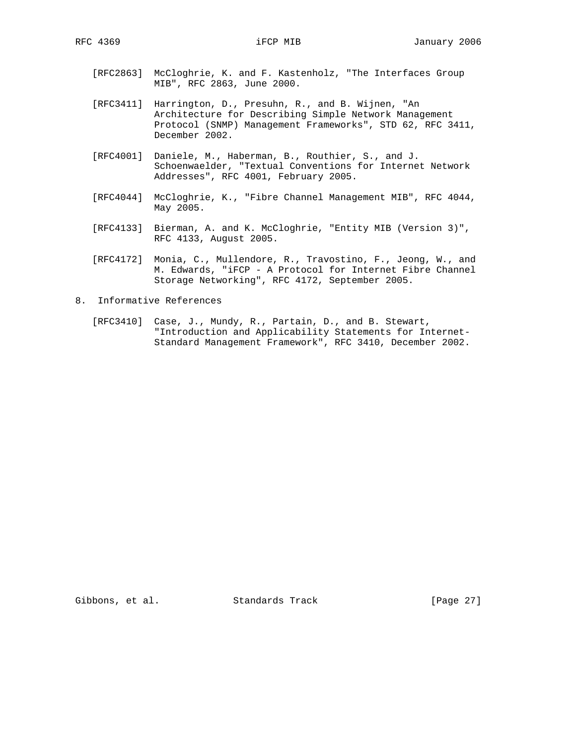- [RFC2863] McCloghrie, K. and F. Kastenholz, "The Interfaces Group MIB", RFC 2863, June 2000.
- [RFC3411] Harrington, D., Presuhn, R., and B. Wijnen, "An Architecture for Describing Simple Network Management Protocol (SNMP) Management Frameworks", STD 62, RFC 3411, December 2002.
- [RFC4001] Daniele, M., Haberman, B., Routhier, S., and J. Schoenwaelder, "Textual Conventions for Internet Network Addresses", RFC 4001, February 2005.
- [RFC4044] McCloghrie, K., "Fibre Channel Management MIB", RFC 4044, May 2005.
- [RFC4133] Bierman, A. and K. McCloghrie, "Entity MIB (Version 3)", RFC 4133, August 2005.
- [RFC4172] Monia, C., Mullendore, R., Travostino, F., Jeong, W., and M. Edwards, "iFCP - A Protocol for Internet Fibre Channel Storage Networking", RFC 4172, September 2005.
- 8. Informative References
- [RFC3410] Case, J., Mundy, R., Partain, D., and B. Stewart, "Introduction and Applicability Statements for Internet- Standard Management Framework", RFC 3410, December 2002.

Gibbons, et al. Standards Track [Page 27]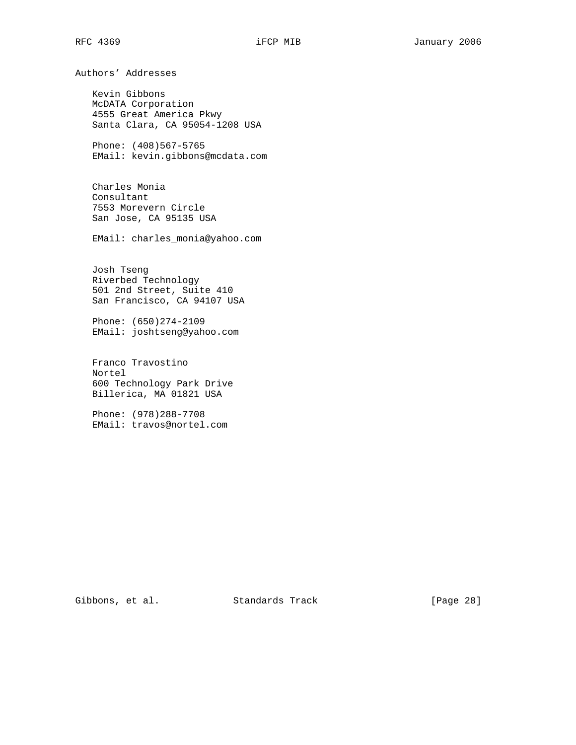Authors' Addresses Kevin Gibbons McDATA Corporation 4555 Great America Pkwy Santa Clara, CA 95054-1208 USA Phone: (408)567-5765 EMail: kevin.gibbons@mcdata.com Charles Monia Consultant 7553 Morevern Circle San Jose, CA 95135 USA EMail: charles\_monia@yahoo.com Josh Tseng Riverbed Technology 501 2nd Street, Suite 410 San Francisco, CA 94107 USA Phone: (650)274-2109 EMail: joshtseng@yahoo.com Franco Travostino Nortel 600 Technology Park Drive Billerica, MA 01821 USA Phone: (978)288-7708 EMail: travos@nortel.com

Gibbons, et al. Standards Track [Page 28]